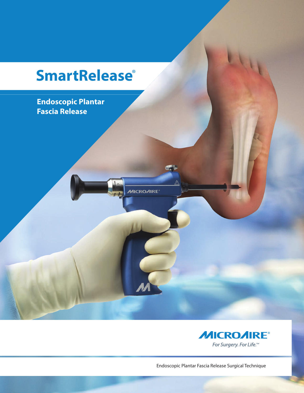# **SmartRelease**®

**MICROAIRE** 

**Endoscopic Plantar Fascia Release** 



Endoscopic Plantar Fascia Release Surgical Technique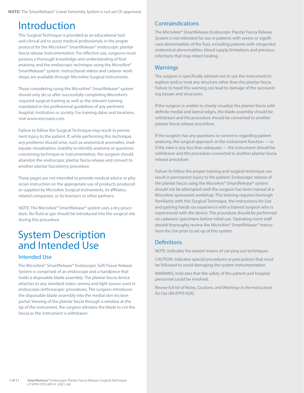# Introduction Contraindications

This Surgical Technique is provided as an educational tool and clinical aid to assist medical professionals in the proper protocol for the MicroAire® SmartRelease® endoscopic plantar fascia release instrumentation. For effective use, surgeons must possess a thorough knowledge and understanding of foot anatomy and the endoscopic technique using the MicroAire® SmartRelease® system. Instructional videos and cadaver workshops are available through MicroAire Surgical Instruments.

Those considering using the MicroAire® SmartRelease® system should only do so after successfully completing MicroAire's required surgical training as well as the relevant training mandated in the professional guidelines of any pertinent hospital, institution or society. For training dates and locations, visit www.microaire.com.

Failure to follow the Surgical Technique may result in permanent injury to the patient. If, while performing this technique, any problems should arise, such as anatomical anomalies, inadequate visualization, inability to identify anatomy or questions concerning technique or instrumentation, the surgeon should abandon the endoscopic plantar fascia release and convert to another plantar fasciotomy procedure.

These pages are not intended to provide medical advice or physician instruction on the appropriate use of products produced or supplied by MicroAire Surgical Instruments, its affiliates, related companies, or its licensors or other partners.

NOTE: The MicroAire® SmartRelease® system uses a dry procedure. No fluid or gas should be introduced into the surgical site during this procedure.

# System Description and Intended Use

### Intended Use

The MicroAire® SmartRelease® Endsocopic Soft Tissue Release System is comprised of an endoscope and a handpiece that holds a disposable blade assembly. The plantar fascia device attaches to any standard video camera and light source used in endoscopic/arthroscopic procedures. The surgeon introduces the disposable blade assembly into the medial skin incision portal. Viewing of the plantar fascia through a window at the tip of the instrument, the surgeon elevates the blade to cut the fascia as the instrument is withdrawn.

The MicroAire® SmartRelease Endoscopic Plantar Fascia Release System is not intended for use in patients with severe or significant abnormalities of the foot, including patients with congenital anatomical abnormalities, blood supply limitations and previous infections that may retard healing.

### Warnings

The surgeon is specifically advised not to use the instrument to explore and/or treat any structure other than the plantar fascia. Failure to heed this warning can lead to damage of the surrounding tissues and structures.

If the surgeon is unable to clearly visualize the plantar fascia with definite medial and lateral edges, the blade assembly should be withdrawn and the procedure should be converted to another plantar fascia release procedure.

If the surgeon has any questions or concerns regarding patient anatomy, the surgical approach or the instrument function — or if the view is any less than adequate — the instrument should be withdrawn and the procedure converted to another plantar fascia release procedure.

Failure to follow the proper training and surgical technique can result in permanent injury to the patient. Endoscopic release of the plantar fascia using the MicroAire® SmartRelease® system should not be attempted until the surgeon has been trained at a MicroAire-sponsored workshop. This training requires thorough familiarity with this Surgical Technique, the Instructions for Use and gaining hands-on experience with a trained surgeon who is experienced with the device. The procedure should be performed on cadaveric specimens before initial use. Operating room staff should thoroughly review the MicroAire® SmartRelease® Instructions for Use prior to set up of this system.

### **Definitions**

NOTE: Indicates the easiest means of carrying out techniques.

CAUTION: Indicates special procedures or precautions that must be followed to avoid damaging the system instrumentation.

WARNING: Indicates that the safety of the patient and hospital personnel could be involved.

*Review full list of Notes, Cautions, and Warnings in the Instructions for Use (IM-EPFR-EGR).*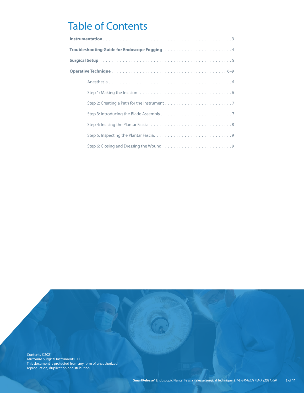# Table of Contents

Contents ©2021 MicroAire Surgical Instruments LLC This document is protected from any form of unauthorized reproduction, duplication or distribution.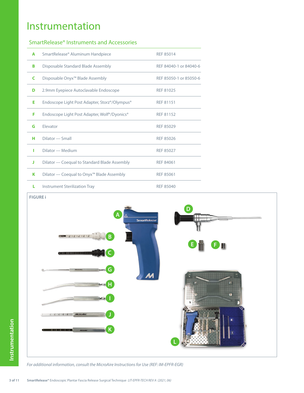# Instrumentation

### SmartRelease® Instruments and Accessories

| A | SmartRelease® Aluminum Handpiece                                      | <b>REF 85014</b>       |
|---|-----------------------------------------------------------------------|------------------------|
| в | Disposable Standard Blade Assembly                                    | REF 84040-1 or 84040-6 |
| C | Disposable Onyx <sup>™</sup> Blade Assembly                           | REF 85050-1 or 85050-6 |
| D | 2.9mm Eyepiece Autoclavable Endoscope<br><b>REF 81025</b>             |                        |
| Е | Endoscope Light Post Adapter, Storz®/Olympus®                         | REF 81151              |
| F | Endoscope Light Post Adapter, Wolf <sup>®</sup> /Dyonics <sup>®</sup> | REF 81152              |
| G | Elevator                                                              | <b>REF 85029</b>       |
| н | Dilator — Small                                                       | REF 85026              |
| п | Dilator - Medium                                                      | <b>REF 85027</b>       |
| J | Dilator — Coequal to Standard Blade Assembly                          | REF 84061              |
| Κ | Dilator — Coequal to Onyx <sup>™</sup> Blade Assembly                 | <b>REF 85061</b>       |
| L | <b>Instrument Sterilization Tray</b>                                  | <b>REF 85040</b>       |



*For additional information, consult the MicroAire Instructions for Use (REF: IM-EPFR-EGR)*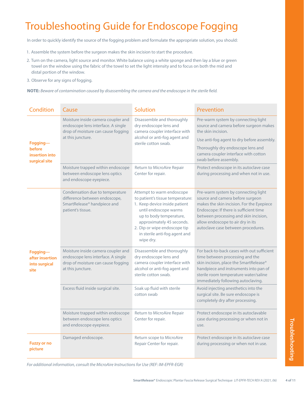# Troubleshooting Guide for Endoscope Fogging

In order to quickly identify the source of the fogging problem and formulate the appropriate solution, you should:

- 1. Assemble the system before the surgeon makes the skin incision to start the procedure.
- 2. Turn on the camera, light source and monitor. White balance using a white sponge and then lay a blue or green towel on the window using the fabric of the towel to set the light intensity and to focus on both the mid and distal portion of the window.
- 3. Observe for any signs of fogging.
- **NOTE:** *Beware of contamination caused by disassembling the camera and the endoscope in the sterile field.*

| Condition                                             | Cause                                                                                                                               | Solution                                                                                                                                                                                                                                                      | Prevention                                                                                                                                                                                                                                                                         |
|-------------------------------------------------------|-------------------------------------------------------------------------------------------------------------------------------------|---------------------------------------------------------------------------------------------------------------------------------------------------------------------------------------------------------------------------------------------------------------|------------------------------------------------------------------------------------------------------------------------------------------------------------------------------------------------------------------------------------------------------------------------------------|
| Fogging-<br>before<br>insertion into<br>surgical site | Moisture inside camera coupler and<br>endoscope lens interface. A single<br>drop of moisture can cause fogging<br>at this juncture. | Disassemble and thoroughly<br>dry endoscope lens and<br>camera coupler interface with<br>alcohol or anti-fog agent and<br>sterile cotton swab.                                                                                                                | Pre-warm system by connecting light<br>source and camera before surgeon makes<br>the skin incision.<br>Use anti-fog agent to dry before assembly.<br>Thoroughly dry endoscope lens and<br>camera coupler interface with cotton<br>swab before assembly.                            |
|                                                       | Moisture trapped within endoscope<br>between endoscope lens optics<br>and endoscope eyepiece.                                       | Return to MicroAire Repair<br>Center for repair.                                                                                                                                                                                                              | Protect endoscope in its autoclave case<br>during processing and when not in use.                                                                                                                                                                                                  |
|                                                       | Condensation due to temperature<br>difference between endoscope,<br>SmartRelease® handpiece and<br>patient's tissue.                | Attempt to warm endoscope<br>to patient's tissue temperature:<br>1. Keep device inside patient<br>until endoscope warms<br>up to body temperature,<br>approximately 45 seconds.<br>2. Dip or wipe endoscope tip<br>in sterile anti-fog agent and<br>wipe dry. | Pre-warm system by connecting light<br>source and camera before surgeon<br>makes the skin incision. For the Eyepiece<br>Endoscope: If there is sufficient time<br>between processing and skin incision,<br>allow endoscope to air dry in its<br>autoclave case between procedures. |
| Fogging-<br>after insertion<br>into surgical<br>site  | Moisture inside camera coupler and<br>endoscope lens interface. A single<br>drop of moisture can cause fogging<br>at this juncture. | Disassemble and thoroughly<br>dry endoscope lens and<br>camera coupler interface with<br>alcohol or anti-fog agent and<br>sterile cotton swab.                                                                                                                | For back-to-back cases with out sufficient<br>time between processing and the<br>skin incision, place the SmartRelease®<br>handpiece and instruments into pan of<br>sterile room temperature water/saline<br>immediately following autoclaving.                                    |
|                                                       | Excess fluid inside surgical site.                                                                                                  | Soak up fluid with sterile<br>cotton swab                                                                                                                                                                                                                     | Avoid injecting anesthetics into the<br>surgical site. Be sure endoscope is<br>completely dry after processing.                                                                                                                                                                    |
|                                                       | Moisture trapped within endoscope<br>between endoscope lens optics<br>and endoscope eyepiece.                                       | Return to MicroAire Repair<br>Center for repair.                                                                                                                                                                                                              | Protect endoscope in its autoclavable<br>case during processing or when not in<br>use.                                                                                                                                                                                             |
| <b>Fuzzy or no</b><br>picture                         | Damaged endoscope.                                                                                                                  | Return scope to MicroAire<br>Repair Center for repair.                                                                                                                                                                                                        | Protect endoscope in its autoclave case<br>during processing or when not in use.                                                                                                                                                                                                   |

*For additional information, consult the MicroAire Instructions for Use (REF: IM-EPFR-EGR)*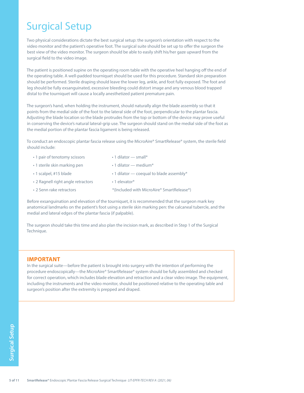# Surgical Setup

Two physical considerations dictate the best surgical setup: the surgeon's orientation with respect to the video monitor and the patient's operative foot. The surgical suite should be set up to offer the surgeon the best view of the video monitor. The surgeon should be able to easily shift his/her gaze upward from the surgical field to the video image.

The patient is positioned supine on the operating room table with the operative heel hanging off the end of the operating table. A well-padded tourniquet should be used for this procedure. Standard skin preparation should be performed. Sterile draping should leave the lower leg, ankle, and foot fully exposed. The foot and leg should be fully exsanguinated, excessive bleeding could distort image and any venous blood trapped distal to the tourniquet will cause a locally anesthetized patient premature pain.

The surgeon's hand, when holding the instrument, should naturally align the blade assembly so that it points from the medial side of the foot to the lateral side of the foot, perpendicular to the plantar fascia. Adjusting the blade location so the blade protrudes from the top or bottom of the device may prove useful in conserving the device's natural lateral-grip use. The surgeon should stand on the medial side of the foot as the medial portion of the plantar fascia ligament is being released.

To conduct an endoscopic plantar fascia release using the MicroAire® SmartRelease® system, the sterile field should include:

• 1 pair of tenotomy scissors • 1 sterile skin marking pen • 1 scalpel, #15 blade • 2 Ragnell right angle retractors • 2 Senn rake retractors • 1 dilator — small\* • 1 dilator — medium\* • 1 dilator — coequal to blade assembly\* • 1 elevator\* \*(Included with MicroAire® SmartRelease®)

Before exsanguination and elevation of the tourniquet, it is recommended that the surgeon mark key anatomical landmarks on the patient's foot using a sterile skin marking pen: the calcaneal tubercle, and the medial and lateral edges of the plantar fascia (if palpable).

The surgeon should take this time and also plan the incision mark, as described in Step 1 of the Surgical Technique.

### **IMPORTANT**

In the surgical suite—before the patient is brought into surgery with the intention of performing the procedure endoscopically—the MicroAire® SmartRelease® system should be fully assembled and checked for correct operation, which includes blade elevation and retraction and a clear video image. The equipment, including the instruments and the video monitor, should be positioned relative to the operating table and surgeon's position after the extremity is prepped and draped.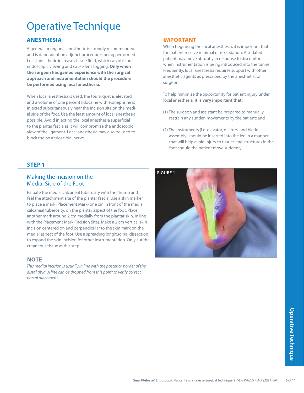# Operative Technique

### **ANESTHESIA**

A general or regional anesthetic is strongly recommended and is dependent on adjunct procedures being performed. Local anesthetic increases tissue fluid, which can obscure endoscopic viewing and cause lens fogging. **Only when the surgeon has gained experience with the surgical approach and instrumentation should the procedure be performed using local anesthesia.**

When local anesthesia is used, the tourniquet is elevated and a volume of one percent lidocaine with epinephrine is injected subcutaneously near the incision site on the medial side of the foot. Use the least amount of local anesthesia possible. Avoid injecting the local anesthesia superficial to the plantar fascia as it will compromise the endoscopic view of the ligament. Local anesthesia may also be used to block the posterior tibial nerve.

### **STEP 1**

### Making the Incision on the Medial Side of the Foot

Palpate the medial calcaneal tuberosity with the thumb and feel the attachment site of the plantar fascia. Use a skin marker to place a mark (Placement Mark) one cm in front of the medial calcaneal tuberosity, on the plantar aspect of the foot. Place another mark around 2 cm medially from the plantar skin, in line with the Placement Mark (Incision Site). Make a 2 cm vertical skin incision centered on and perpendicular to the skin mark on the medial aspect of the foot. Use a spreading longitudinal dissection to expand the skin incision for other instrumentation. Only cut the cutaneous tissue at this step.

### **NOTE**

*This medial incision is usually in line with the posterior border of the distal tibia. A line can be dropped from this point to verify correct portal placement.* 

### **IMPORTANT**

When beginning the local anesthesia, it is important that the patient receive minimal or no sedation. A sedated patient may move abruptly in response to discomfort when instrumentation is being introduced into the tunnel. Frequently, local anesthesia requires support with other anesthetic agents as prescribed by the anesthetist or surgeon.

To help minimize the opportunity for patient injury under local anesthesia, **it is very important that:**

- (1) The surgeon and assistant be prepared to manually restrain any sudden movements by the patient; and
- (2) The instruments (i.e. elevator, dilators, and blade assembly) should be inserted into the leg in a manner that will help avoid injury to tissues and structures in the foot should the patient move suddenly.

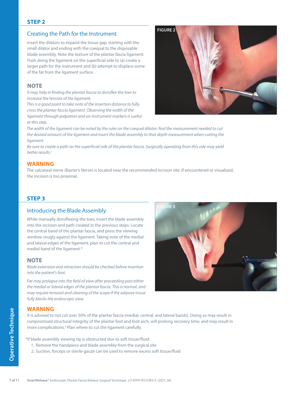### Creating the Path for the Instrument

Insert the dilators to expand the tissue gap, starting with the small dilator and ending with the coequal to the disposable blade assembly. Note the texture of the plantar fascia ligament. Push along the ligament on the superficial side to (a) create a larger path for the instrument and (b) attempt to displace some of the fat from the ligament surface.

### **NOTE**

*It may help in finding the plantar fascia to dorsiflex the toes to increase the tension of the ligament.* 

*This is a good point to take note of the insertion distance to fully cross the plantar fascia ligament. Observing the width of the ligament through palpation and on-instrument markers is useful at this step.* 



*The width of the ligament can be noted by the ruler on the coequal dilator; find the measurement needed to cut the desired amount of the ligament and insert the blade assembly to that depth measurement when cutting the ligament.* 

*Be sure to create a path on the superficial side of the plantar fascia. Surgically operating from this side may yield better results.1*

### **WARNING**

The calcaneal nerve (Baxter's Nerve) is located near the recommended incision site. If encountered or visualized, the incision is too proximal.

### **STEP 3**

### Introducing the Blade Assembly

While manually dorsiflexing the toes, insert the blade assembly into the incision and path created in the previous steps. Locate the central band of the plantar fascia, and press the viewing window snugly against the ligament. Taking note of the medial and lateral edges of the ligament, plan to cut the central and medial band of the ligament.\*

### **NOTE**

*Blade extension and retraction should be checked before insertion into the patient's foot.* 

*Fat may prolapse into the field of view after proceeding past either the medial or lateral edges of the plantar fascia. This is normal, and may require removal and cleaning of the scope if the adipose tissue fully blocks the endoscopic view.* 



### **WARNING**

It is advised to not cut over 50% of the plantar fascia (medial, central, and lateral bands). Doing so may result in compromised structural integrity of the plantar foot and foot arch, will prolong recovery time, and may result in more complications.<sup>2</sup> Plan where to cut the ligament carefully.

\*If blade assembly viewing tip is obstructed due to soft tissue/fluid:

- 1. Remove the handpiece and blade assembly from the surgical site
- 2. Suction, forceps or sterile gauze can be used to remove excess soft tissue/fluid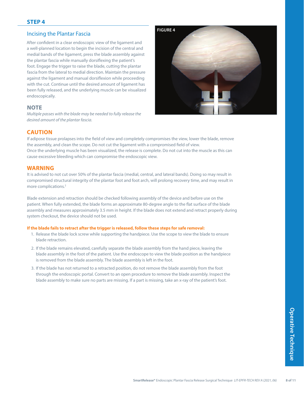### Incising the Plantar Fascia

After confident in a clear endoscopic view of the ligament and a well-planned location to begin the incision of the central and medial bands of the ligament, press the blade assembly against the plantar fascia while manually dorsiflexing the patient's foot. Engage the trigger to raise the blade, cutting the plantar fascia from the lateral to medial direction. Maintain the pressure against the ligament and manual dorsiflexion while proceeding with the cut. Continue until the desired amount of ligament has been fully released, and the underlying muscle can be visualized endoscopically.



### **NOTE**

*Multiple passes with the blade may be needed to fully release the desired amount of the plantar fascia.* 

### **CAUTION**

If adipose tissue prolapses into the field of view and completely compromises the view, lower the blade, remove the assembly, and clean the scope. Do not cut the ligament with a compromised field of view. Once the underlying muscle has been visualized, the release is complete. Do not cut into the muscle as this can cause excessive bleeding which can compromise the endoscopic view.

### **WARNING**

It is advised to not cut over 50% of the plantar fascia (medial, central, and lateral bands). Doing so may result in compromised structural integrity of the plantar foot and foot arch, will prolong recovery time, and may result in more complications.2

Blade extension and retraction should be checked following assembly of the device and before use on the patient. When fully extended, the blade forms an approximate 80-degree angle to the flat surface of the blade assembly and measures approximately 3.5 mm in height. If the blade does not extend and retract properly during system checkout, the device should not be used.

### **If the blade fails to retract after the trigger is released, follow these steps for safe removal:**

- 1. Release the blade lock screw while supporting the handpiece. Use the scope to view the blade to ensure blade retraction.
- 2. If the blade remains elevated, carefully separate the blade assembly from the hand piece, leaving the blade assembly in the foot of the patient. Use the endoscope to view the blade position as the handpiece is removed from the blade assembly. The blade assembly is left in the foot.
- 3. If the blade has not returned to a retracted position, do not remove the blade assembly from the foot through the endoscopic portal. Convert to an open procedure to remove the blade assembly. Inspect the blade assembly to make sure no parts are missing. If a part is missing, take an x-ray of the patient's foot.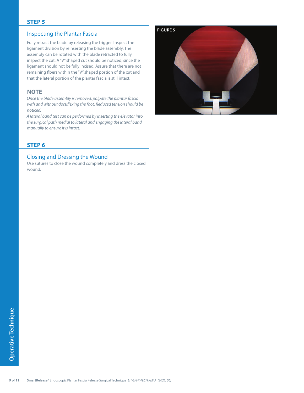### **STEP 5**

### Inspecting the Plantar Fascia

Fully retract the blade by releasing the trigger. Inspect the ligament division by reinserting the blade assembly. The assembly can be rotated with the blade retracted to fully inspect the cut. A "V" shaped cut should be noticed, since the ligament should not be fully incised. Assure that there are not remaining fibers within the "V" shaped portion of the cut and that the lateral portion of the plantar fascia is still intact.

### **NOTE**

*Once the blade assembly is removed, palpate the plantar fascia with and without dorsiflexing the foot. Reduced tension should be noticed.* 

*A lateral band test can be performed by inserting the elevator into the surgical path medial to lateral and engaging the lateral band manually to ensure it is intact.* 

# **FIGURE 5**

### **STEP 6**

### Closing and Dressing the Wound

Use sutures to close the wound completely and dress the closed wound.